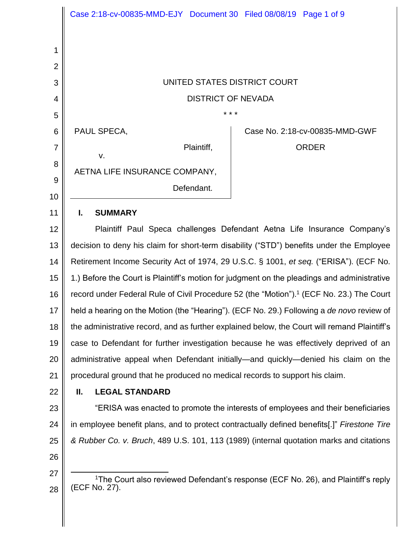|                | Case 2:18-cv-00835-MMD-EJY Document 30 Filed 08/08/19 Page 1 of 9                                    |
|----------------|------------------------------------------------------------------------------------------------------|
|                |                                                                                                      |
| 1              |                                                                                                      |
| $\overline{2}$ |                                                                                                      |
| 3              | UNITED STATES DISTRICT COURT                                                                         |
| 4              | <b>DISTRICT OF NEVADA</b>                                                                            |
| 5              |                                                                                                      |
| 6              | PAUL SPECA,<br>Case No. 2:18-cv-00835-MMD-GWF                                                        |
| $\overline{7}$ | Plaintiff,<br><b>ORDER</b><br>V.                                                                     |
| 8              | AETNA LIFE INSURANCE COMPANY,                                                                        |
| 9              | Defendant.                                                                                           |
| 10             |                                                                                                      |
| 11             | L<br><b>SUMMARY</b>                                                                                  |
| 12             | Plaintiff Paul Speca challenges Defendant Aetna Life Insurance Company's                             |
| 13             | decision to deny his claim for short-term disability ("STD") benefits under the Employee             |
| 14             | Retirement Income Security Act of 1974, 29 U.S.C. § 1001, et seq. ("ERISA"). (ECF No.                |
| 15             | 1.) Before the Court is Plaintiff's motion for judgment on the pleadings and administrative          |
| 16             | record under Federal Rule of Civil Procedure 52 (the "Motion"). <sup>1</sup> (ECF No. 23.) The Court |
| 17             | held a hearing on the Motion (the "Hearing"). (ECF No. 29.) Following a de novo review of            |
| 18             | the administrative record, and as further explained below, the Court will remand Plaintiff's         |
| 19             | case to Defendant for further investigation because he was effectively deprived of an                |
| 20             | administrative appeal when Defendant initially—and quickly—denied his claim on the                   |
| 21             | procedural ground that he produced no medical records to support his claim.                          |
| 22             | Ш.<br><b>LEGAL STANDARD</b>                                                                          |
| 23             | "ERISA was enacted to promote the interests of employees and their beneficiaries                     |
| 24             | in employee benefit plans, and to protect contractually defined benefits[.]" Firestone Tire          |
| 25             | & Rubber Co. v. Bruch, 489 U.S. 101, 113 (1989) (internal quotation marks and citations              |
| 26             |                                                                                                      |
| 27             | <sup>1</sup> The Court also reviewed Defendant's response (ECF No. 26), and Plaintiff's reply        |
| 28             | (ECF No. 27).                                                                                        |
|                |                                                                                                      |
|                |                                                                                                      |

 $\parallel$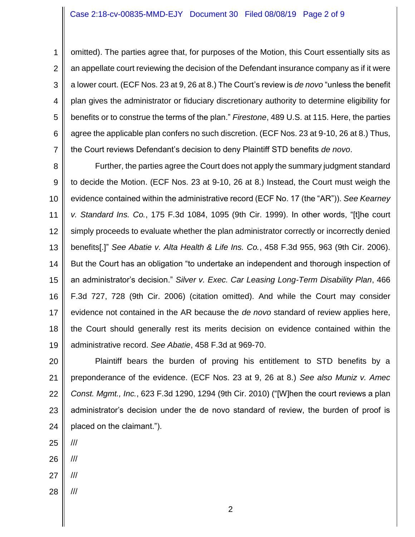## Case 2:18-cv-00835-MMD-EJY Document 30 Filed 08/08/19 Page 2 of 9

1 2 3 4 5 6 7 omitted). The parties agree that, for purposes of the Motion, this Court essentially sits as an appellate court reviewing the decision of the Defendant insurance company as if it were a lower court. (ECF Nos. 23 at 9, 26 at 8.) The Court's review is *de novo* "unless the benefit plan gives the administrator or fiduciary discretionary authority to determine eligibility for benefits or to construe the terms of the plan." *Firestone*, 489 U.S. at 115. Here, the parties agree the applicable plan confers no such discretion. (ECF Nos. 23 at 9-10, 26 at 8.) Thus, the Court reviews Defendant's decision to deny Plaintiff STD benefits *de novo*.

8 9 10 11 12 13 14 15 16 17 18 19 Further, the parties agree the Court does not apply the summary judgment standard to decide the Motion. (ECF Nos. 23 at 9-10, 26 at 8.) Instead, the Court must weigh the evidence contained within the administrative record (ECF No. 17 (the "AR")). *See Kearney v. Standard Ins. Co.*, 175 F.3d 1084, 1095 (9th Cir. 1999). In other words, "[t]he court simply proceeds to evaluate whether the plan administrator correctly or incorrectly denied benefits[.]" *See Abatie v. Alta Health & Life Ins. Co.*, 458 F.3d 955, 963 (9th Cir. 2006). But the Court has an obligation "to undertake an independent and thorough inspection of an administrator's decision." *Silver v. Exec. Car Leasing Long-Term Disability Plan*, 466 F.3d 727, 728 (9th Cir. 2006) (citation omitted). And while the Court may consider evidence not contained in the AR because the *de novo* standard of review applies here, the Court should generally rest its merits decision on evidence contained within the administrative record. *See Abatie*, 458 F.3d at 969-70.

20 21 22 23 24 Plaintiff bears the burden of proving his entitlement to STD benefits by a preponderance of the evidence. (ECF Nos. 23 at 9, 26 at 8.) *See also Muniz v. Amec Const. Mgmt., Inc.*, 623 F.3d 1290, 1294 (9th Cir. 2010) ("[W]hen the court reviews a plan administrator's decision under the de novo standard of review, the burden of proof is placed on the claimant.").

- 25 ///
- 26 ///
- 27 ///
- 28 ///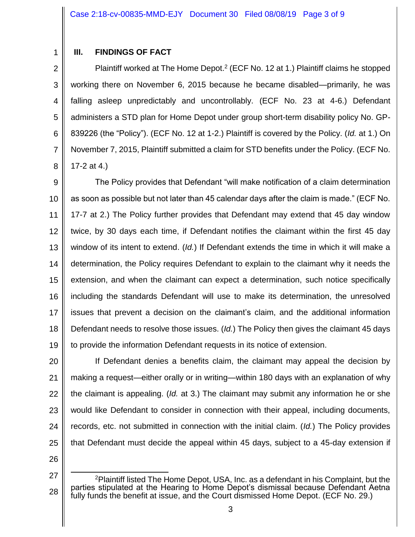1

# **III. FINDINGS OF FACT**

2 3 4 5 6 7 8 Plaintiff worked at The Home Depot.<sup>2</sup> (ECF No. 12 at 1.) Plaintiff claims he stopped working there on November 6, 2015 because he became disabled—primarily, he was falling asleep unpredictably and uncontrollably. (ECF No. 23 at 4-6.) Defendant administers a STD plan for Home Depot under group short-term disability policy No. GP-839226 (the "Policy"). (ECF No. 12 at 1-2.) Plaintiff is covered by the Policy. (*Id.* at 1.) On November 7, 2015, Plaintiff submitted a claim for STD benefits under the Policy. (ECF No. 17-2 at 4.)

9 10 11 12 13 14 15 16 17 18 19 The Policy provides that Defendant "will make notification of a claim determination as soon as possible but not later than 45 calendar days after the claim is made." (ECF No. 17-7 at 2.) The Policy further provides that Defendant may extend that 45 day window twice, by 30 days each time, if Defendant notifies the claimant within the first 45 day window of its intent to extend. (*Id.*) If Defendant extends the time in which it will make a determination, the Policy requires Defendant to explain to the claimant why it needs the extension, and when the claimant can expect a determination, such notice specifically including the standards Defendant will use to make its determination, the unresolved issues that prevent a decision on the claimant's claim, and the additional information Defendant needs to resolve those issues. (*Id.*) The Policy then gives the claimant 45 days to provide the information Defendant requests in its notice of extension.

20 21 22 23 24 25 If Defendant denies a benefits claim, the claimant may appeal the decision by making a request—either orally or in writing—within 180 days with an explanation of why the claimant is appealing. (*Id.* at 3.) The claimant may submit any information he or she would like Defendant to consider in connection with their appeal, including documents, records, etc. not submitted in connection with the initial claim. (*Id.*) The Policy provides that Defendant must decide the appeal within 45 days, subject to a 45-day extension if

26

<sup>27</sup> 28 l <sup>2</sup>Plaintiff listed The Home Depot, USA, Inc. as a defendant in his Complaint, but the parties stipulated at the Hearing to Home Depot's dismissal because Defendant Aetna fully funds the benefit at issue, and the Court dismissed Home Depot. (ECF No. 29.)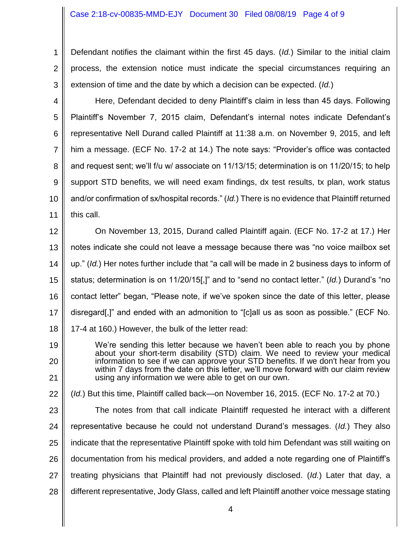#### Case 2:18-cv-00835-MMD-EJY Document 30 Filed 08/08/19 Page 4 of 9

1 2 3 Defendant notifies the claimant within the first 45 days. (*Id.*) Similar to the initial claim process, the extension notice must indicate the special circumstances requiring an extension of time and the date by which a decision can be expected. (*Id.*)

- 4 5 6 7 8 9 10 11 Here, Defendant decided to deny Plaintiff's claim in less than 45 days. Following Plaintiff's November 7, 2015 claim, Defendant's internal notes indicate Defendant's representative Nell Durand called Plaintiff at 11:38 a.m. on November 9, 2015, and left him a message. (ECF No. 17-2 at 14.) The note says: "Provider's office was contacted and request sent; we'll f/u w/ associate on 11/13/15; determination is on 11/20/15; to help support STD benefits, we will need exam findings, dx test results, tx plan, work status and/or confirmation of sx/hospital records." (*Id.*) There is no evidence that Plaintiff returned this call.
- 12 13 14 15 16 17 18 On November 13, 2015, Durand called Plaintiff again. (ECF No. 17-2 at 17.) Her notes indicate she could not leave a message because there was "no voice mailbox set up." (*Id.*) Her notes further include that "a call will be made in 2 business days to inform of status; determination is on 11/20/15[,]" and to "send no contact letter." (*Id.*) Durand's "no contact letter" began, "Please note, if we've spoken since the date of this letter, please disregard[,]" and ended with an admonition to "[c]all us as soon as possible." (ECF No. 17-4 at 160.) However, the bulk of the letter read:
- 19 20 21 We're sending this letter because we haven't been able to reach you by phone about your short-term disability (STD) claim. We need to review your medical information to see if we can approve your STD benefits. If we don't hear from you within 7 days from the date on this letter, we'll move forward with our claim review using any information we were able to get on our own.
- 22 (*Id.*) But this time, Plaintiff called back—on November 16, 2015. (ECF No. 17-2 at 70.)
- 23 24 25 26 27 28 The notes from that call indicate Plaintiff requested he interact with a different representative because he could not understand Durand's messages. (*Id.*) They also indicate that the representative Plaintiff spoke with told him Defendant was still waiting on documentation from his medical providers, and added a note regarding one of Plaintiff's treating physicians that Plaintiff had not previously disclosed. (*Id.*) Later that day, a different representative, Jody Glass, called and left Plaintiff another voice message stating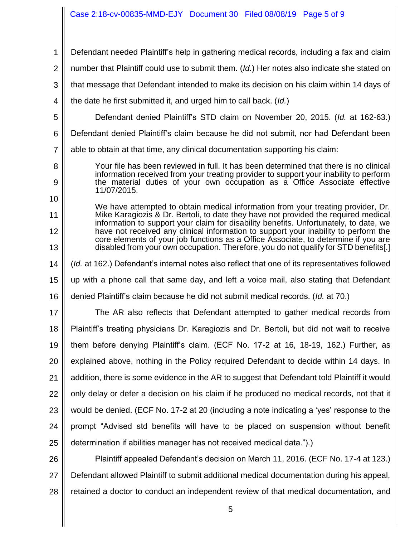## Case 2:18-cv-00835-MMD-EJY Document 30 Filed 08/08/19 Page 5 of 9

1 2 3 4 5 6 7 8 9 10 11 12 13 14 15 16 17 18 19 20 21 22 23 24 25 26 27 28 Defendant needed Plaintiff's help in gathering medical records, including a fax and claim number that Plaintiff could use to submit them. (*Id.*) Her notes also indicate she stated on that message that Defendant intended to make its decision on his claim within 14 days of the date he first submitted it, and urged him to call back. (*Id.*) Defendant denied Plaintiff's STD claim on November 20, 2015. (*Id.* at 162-63.) Defendant denied Plaintiff's claim because he did not submit, nor had Defendant been able to obtain at that time, any clinical documentation supporting his claim: Your file has been reviewed in full. It has been determined that there is no clinical information received from your treating provider to support your inability to perform the material duties of your own occupation as a Office Associate effective 11/07/2015. We have attempted to obtain medical information from your treating provider, Dr. Mike Karagiozis & Dr. Bertoli, to date they have not provided the required medical information to support your claim for disability benefits. Unfortunately, to date, we have not received any clinical information to support your inability to perform the core elements of your job functions as a Office Associate, to determine if you are disabled from your own occupation. Therefore, you do not qualify for STD benefits[.] (*Id.* at 162.) Defendant's internal notes also reflect that one of its representatives followed up with a phone call that same day, and left a voice mail, also stating that Defendant denied Plaintiff's claim because he did not submit medical records. (*Id.* at 70.) The AR also reflects that Defendant attempted to gather medical records from Plaintiff's treating physicians Dr. Karagiozis and Dr. Bertoli, but did not wait to receive them before denying Plaintiff's claim. (ECF No. 17-2 at 16, 18-19, 162.) Further, as explained above, nothing in the Policy required Defendant to decide within 14 days. In addition, there is some evidence in the AR to suggest that Defendant told Plaintiff it would only delay or defer a decision on his claim if he produced no medical records, not that it would be denied. (ECF No. 17-2 at 20 (including a note indicating a 'yes' response to the prompt "Advised std benefits will have to be placed on suspension without benefit determination if abilities manager has not received medical data.").) Plaintiff appealed Defendant's decision on March 11, 2016. (ECF No. 17-4 at 123.) Defendant allowed Plaintiff to submit additional medical documentation during his appeal, retained a doctor to conduct an independent review of that medical documentation, and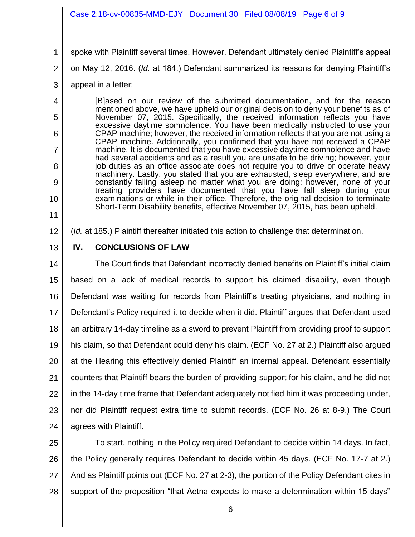## Case 2:18-cv-00835-MMD-EJY Document 30 Filed 08/08/19 Page 6 of 9

- 1 spoke with Plaintiff several times. However, Defendant ultimately denied Plaintiff's appeal
- 2 on May 12, 2016. (*Id.* at 184.) Defendant summarized its reasons for denying Plaintiff's
- 3 appeal in a letter:

4

5

6

7

8

9

10

11

[B]ased on our review of the submitted documentation, and for the reason mentioned above, we have upheld our original decision to deny your benefits as of November 07, 2015. Specifically, the received information reflects you have excessive daytime somnolence. You have been medically instructed to use your CPAP machine; however, the received information reflects that you are not using a CPAP machine. Additionally, you confirmed that you have not received a CPAP machine. It is documented that you have excessive daytime somnolence and have had several accidents and as a result you are unsafe to be driving; however, your job duties as an office associate does not require you to drive or operate heavy machinery. Lastly, you stated that you are exhausted, sleep everywhere, and are constantly falling asleep no matter what you are doing; however, none of your treating providers have documented that you have fall sleep during your examinations or while in their office. Therefore, the original decision to terminate Short-Term Disability benefits, effective November 07, 2015, has been upheld.

12 (*Id.* at 185.) Plaintiff thereafter initiated this action to challenge that determination.

13 **IV. CONCLUSIONS OF LAW**

14 15 16 17 18 19 20 21 22 23 24 The Court finds that Defendant incorrectly denied benefits on Plaintiff's initial claim based on a lack of medical records to support his claimed disability, even though Defendant was waiting for records from Plaintiff's treating physicians, and nothing in Defendant's Policy required it to decide when it did. Plaintiff argues that Defendant used an arbitrary 14-day timeline as a sword to prevent Plaintiff from providing proof to support his claim, so that Defendant could deny his claim. (ECF No. 27 at 2.) Plaintiff also argued at the Hearing this effectively denied Plaintiff an internal appeal. Defendant essentially counters that Plaintiff bears the burden of providing support for his claim, and he did not in the 14-day time frame that Defendant adequately notified him it was proceeding under, nor did Plaintiff request extra time to submit records. (ECF No. 26 at 8-9.) The Court agrees with Plaintiff.

25 26 27 28 To start, nothing in the Policy required Defendant to decide within 14 days. In fact, the Policy generally requires Defendant to decide within 45 days. (ECF No. 17-7 at 2.) And as Plaintiff points out (ECF No. 27 at 2-3), the portion of the Policy Defendant cites in support of the proposition "that Aetna expects to make a determination within 15 days"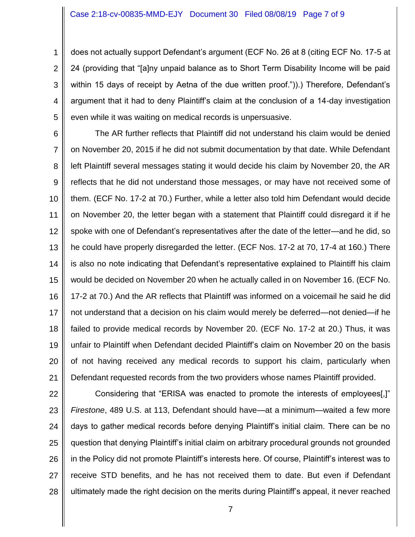1 2 3 4 5 does not actually support Defendant's argument (ECF No. 26 at 8 (citing ECF No. 17-5 at 24 (providing that "[a]ny unpaid balance as to Short Term Disability Income will be paid within 15 days of receipt by Aetna of the due written proof.")).) Therefore, Defendant's argument that it had to deny Plaintiff's claim at the conclusion of a 14-day investigation even while it was waiting on medical records is unpersuasive.

6 7 8 9 10 11 12 13 14 15 16 17 18 19 20 21 The AR further reflects that Plaintiff did not understand his claim would be denied on November 20, 2015 if he did not submit documentation by that date. While Defendant left Plaintiff several messages stating it would decide his claim by November 20, the AR reflects that he did not understand those messages, or may have not received some of them. (ECF No. 17-2 at 70.) Further, while a letter also told him Defendant would decide on November 20, the letter began with a statement that Plaintiff could disregard it if he spoke with one of Defendant's representatives after the date of the letter—and he did, so he could have properly disregarded the letter. (ECF Nos. 17-2 at 70, 17-4 at 160.) There is also no note indicating that Defendant's representative explained to Plaintiff his claim would be decided on November 20 when he actually called in on November 16. (ECF No. 17-2 at 70.) And the AR reflects that Plaintiff was informed on a voicemail he said he did not understand that a decision on his claim would merely be deferred—not denied—if he failed to provide medical records by November 20. (ECF No. 17-2 at 20.) Thus, it was unfair to Plaintiff when Defendant decided Plaintiff's claim on November 20 on the basis of not having received any medical records to support his claim, particularly when Defendant requested records from the two providers whose names Plaintiff provided.

22 23 24 25 26 27 28 Considering that "ERISA was enacted to promote the interests of employees[,]" *Firestone*, 489 U.S. at 113, Defendant should have—at a minimum—waited a few more days to gather medical records before denying Plaintiff's initial claim. There can be no question that denying Plaintiff's initial claim on arbitrary procedural grounds not grounded in the Policy did not promote Plaintiff's interests here. Of course, Plaintiff's interest was to receive STD benefits, and he has not received them to date. But even if Defendant ultimately made the right decision on the merits during Plaintiff's appeal, it never reached

7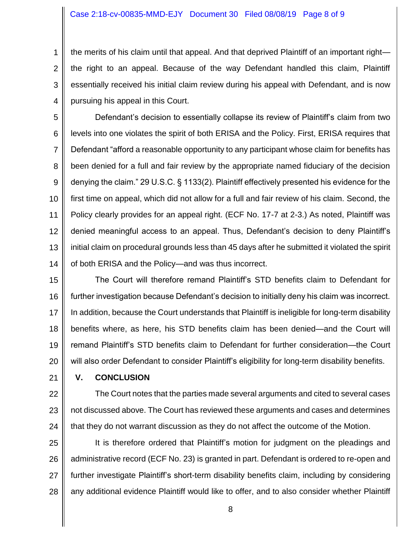#### Case 2:18-cv-00835-MMD-EJY Document 30 Filed 08/08/19 Page 8 of 9

1 2 3 4 the merits of his claim until that appeal. And that deprived Plaintiff of an important right the right to an appeal. Because of the way Defendant handled this claim, Plaintiff essentially received his initial claim review during his appeal with Defendant, and is now pursuing his appeal in this Court.

5 6 7 8 9 10 11 12 13 14 Defendant's decision to essentially collapse its review of Plaintiff's claim from two levels into one violates the spirit of both ERISA and the Policy. First, ERISA requires that Defendant "afford a reasonable opportunity to any participant whose claim for benefits has been denied for a full and fair review by the appropriate named fiduciary of the decision denying the claim." 29 U.S.C. § 1133(2). Plaintiff effectively presented his evidence for the first time on appeal, which did not allow for a full and fair review of his claim. Second, the Policy clearly provides for an appeal right. (ECF No. 17-7 at 2-3.) As noted, Plaintiff was denied meaningful access to an appeal. Thus, Defendant's decision to deny Plaintiff's initial claim on procedural grounds less than 45 days after he submitted it violated the spirit of both ERISA and the Policy—and was thus incorrect.

15 16 17 18 19 20 The Court will therefore remand Plaintiff's STD benefits claim to Defendant for further investigation because Defendant's decision to initially deny his claim was incorrect. In addition, because the Court understands that Plaintiff is ineligible for long-term disability benefits where, as here, his STD benefits claim has been denied—and the Court will remand Plaintiff's STD benefits claim to Defendant for further consideration—the Court will also order Defendant to consider Plaintiff's eligibility for long-term disability benefits.

21

## **V. CONCLUSION**

22 23 24 The Court notes that the parties made several arguments and cited to several cases not discussed above. The Court has reviewed these arguments and cases and determines that they do not warrant discussion as they do not affect the outcome of the Motion.

25 26 27 28 It is therefore ordered that Plaintiff's motion for judgment on the pleadings and administrative record (ECF No. 23) is granted in part. Defendant is ordered to re-open and further investigate Plaintiff's short-term disability benefits claim, including by considering any additional evidence Plaintiff would like to offer, and to also consider whether Plaintiff

8